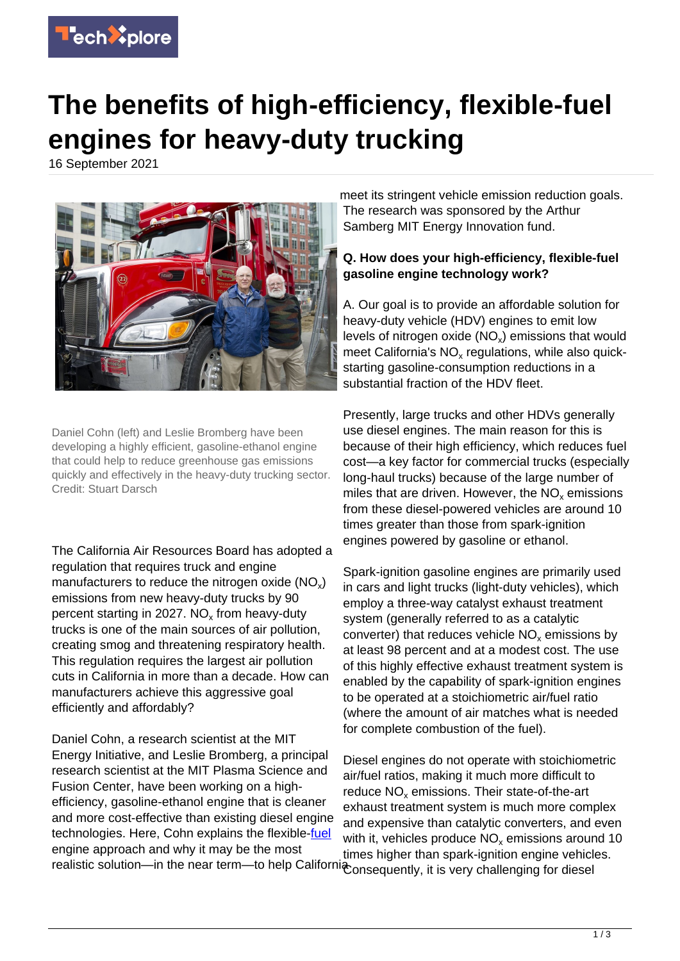

## **The benefits of high-efficiency, flexible-fuel engines for heavy-duty trucking**

16 September 2021



Daniel Cohn (left) and Leslie Bromberg have been developing a highly efficient, gasoline-ethanol engine that could help to reduce greenhouse gas emissions quickly and effectively in the heavy-duty trucking sector. Credit: Stuart Darsch

The California Air Resources Board has adopted a regulation that requires truck and engine manufacturers to reduce the nitrogen oxide (NO<sub>x</sub>) emissions from new heavy-duty trucks by 90 percent starting in 2027. NO<sub>x</sub> from heavy-duty trucks is one of the main sources of air pollution, creating smog and threatening respiratory health. This regulation requires the largest air pollution cuts in California in more than a decade. How can manufacturers achieve this aggressive goal efficiently and affordably?

Daniel Cohn, a research scientist at the MIT Energy Initiative, and Leslie Bromberg, a principal research scientist at the MIT Plasma Science and Fusion Center, have been working on a highefficiency, gasoline-ethanol engine that is cleaner and more cost-effective than existing diesel engine technologies. Here, Cohn explains the flexible[-fuel](https://techxplore.com/tags/fuel/) engine approach and why it may be the most

meet its stringent vehicle emission reduction goals. The research was sponsored by the Arthur Samberg MIT Energy Innovation fund.

## **Q. How does your high-efficiency, flexible-fuel gasoline engine technology work?**

A. Our goal is to provide an affordable solution for heavy-duty vehicle (HDV) engines to emit low levels of nitrogen oxide ( $NO<sub>x</sub>$ ) emissions that would meet California's  $NO<sub>x</sub>$  regulations, while also quickstarting gasoline-consumption reductions in a substantial fraction of the HDV fleet.

Presently, large trucks and other HDVs generally use diesel engines. The main reason for this is because of their high efficiency, which reduces fuel cost—a key factor for commercial trucks (especially long-haul trucks) because of the large number of miles that are driven. However, the  $NO_x$  emissions from these diesel-powered vehicles are around 10 times greater than those from spark-ignition engines powered by gasoline or ethanol.

Spark-ignition gasoline engines are primarily used in cars and light trucks (light-duty vehicles), which employ a three-way catalyst exhaust treatment system (generally referred to as a catalytic converter) that reduces vehicle  $NO_x$  emissions by at least 98 percent and at a modest cost. The use of this highly effective exhaust treatment system is enabled by the capability of spark-ignition engines to be operated at a stoichiometric air/fuel ratio (where the amount of air matches what is needed for complete combustion of the fuel).

realistic solution—in the near term—to help Californi onsequently, it is very challenging for diesel Diesel engines do not operate with stoichiometric air/fuel ratios, making it much more difficult to reduce  $NO<sub>x</sub>$  emissions. Their state-of-the-art exhaust treatment system is much more complex and expensive than catalytic converters, and even with it, vehicles produce  $NO_x$  emissions around 10 times higher than spark-ignition engine vehicles.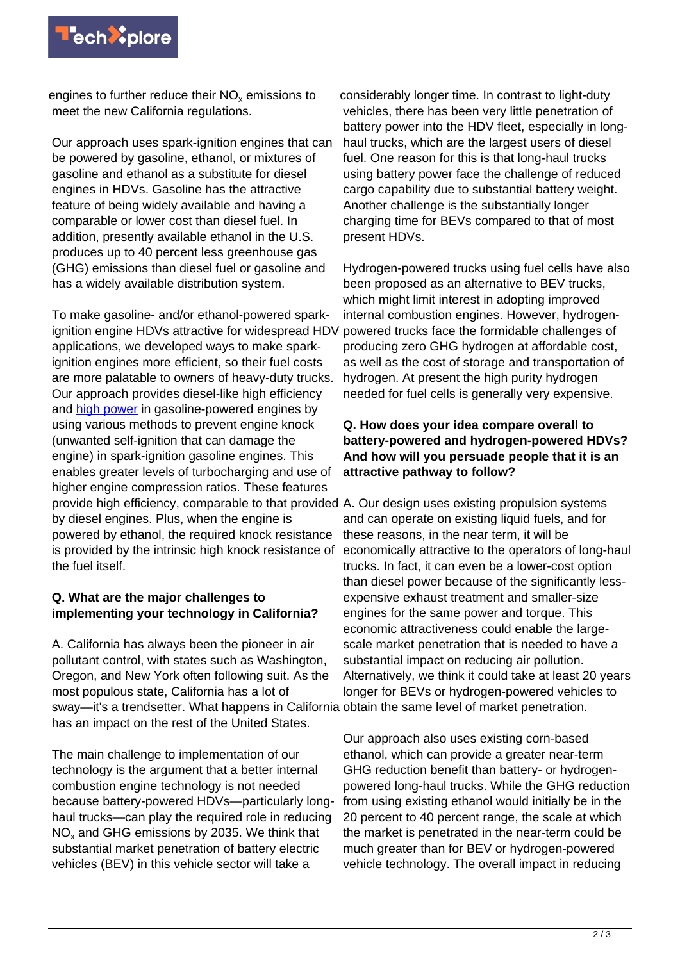

engines to further reduce their  $\mathsf{NO}_\mathsf{x}$  emissions to meet the new California regulations.

Our approach uses spark-ignition engines that can be powered by gasoline, ethanol, or mixtures of gasoline and ethanol as a substitute for diesel engines in HDVs. Gasoline has the attractive feature of being widely available and having a comparable or lower cost than diesel fuel. In addition, presently available ethanol in the U.S. produces up to 40 percent less greenhouse gas (GHG) emissions than diesel fuel or gasoline and has a widely available distribution system.

To make gasoline- and/or ethanol-powered sparkignition engine HDVs attractive for widespread HDV applications, we developed ways to make sparkignition engines more efficient, so their fuel costs are more palatable to owners of heavy-duty trucks. Our approach provides diesel-like high efficiency and [high power](https://techxplore.com/tags/high+power/) in gasoline-powered engines by using various methods to prevent engine knock (unwanted self-ignition that can damage the engine) in spark-ignition gasoline engines. This enables greater levels of turbocharging and use of higher engine compression ratios. These features provide high efficiency, comparable to that provided A. Our design uses existing propulsion systems by diesel engines. Plus, when the engine is powered by ethanol, the required knock resistance is provided by the intrinsic high knock resistance of the fuel itself.

## **Q. What are the major challenges to implementing your technology in California?**

A. California has always been the pioneer in air pollutant control, with states such as Washington, Oregon, and New York often following suit. As the most populous state, California has a lot of sway—it's a trendsetter. What happens in California obtain the same level of market penetration. has an impact on the rest of the United States.

The main challenge to implementation of our technology is the argument that a better internal combustion engine technology is not needed because battery-powered HDVs—particularly longhaul trucks—can play the required role in reducing  $\rm NO_x$  and GHG emissions by 2035. We think that substantial market penetration of battery electric vehicles (BEV) in this vehicle sector will take a

considerably longer time. In contrast to light-duty vehicles, there has been very little penetration of battery power into the HDV fleet, especially in longhaul trucks, which are the largest users of diesel fuel. One reason for this is that long-haul trucks using battery power face the challenge of reduced cargo capability due to substantial battery weight. Another challenge is the substantially longer charging time for BEVs compared to that of most present HDVs.

Hydrogen-powered trucks using fuel cells have also been proposed as an alternative to BEV trucks, which might limit interest in adopting improved internal combustion engines. However, hydrogenpowered trucks face the formidable challenges of producing zero GHG hydrogen at affordable cost, as well as the cost of storage and transportation of hydrogen. At present the high purity hydrogen needed for fuel cells is generally very expensive.

## **Q. How does your idea compare overall to battery-powered and hydrogen-powered HDVs? And how will you persuade people that it is an attractive pathway to follow?**

and can operate on existing liquid fuels, and for these reasons, in the near term, it will be economically attractive to the operators of long-haul trucks. In fact, it can even be a lower-cost option than diesel power because of the significantly lessexpensive exhaust treatment and smaller-size engines for the same power and torque. This economic attractiveness could enable the largescale market penetration that is needed to have a substantial impact on reducing air pollution. Alternatively, we think it could take at least 20 years longer for BEVs or hydrogen-powered vehicles to

Our approach also uses existing corn-based ethanol, which can provide a greater near-term GHG reduction benefit than battery- or hydrogenpowered long-haul trucks. While the GHG reduction from using existing ethanol would initially be in the 20 percent to 40 percent range, the scale at which the market is penetrated in the near-term could be much greater than for BEV or hydrogen-powered vehicle technology. The overall impact in reducing